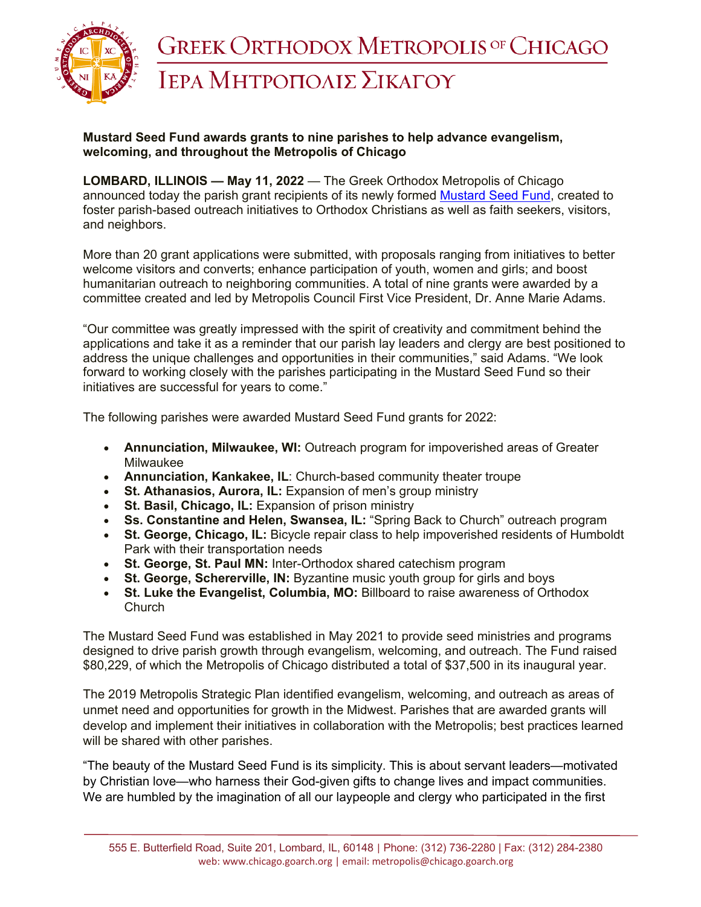

## **Mustard Seed Fund awards grants to nine parishes to help advance evangelism, welcoming, and throughout the Metropolis of Chicago**

**LOMBARD, ILLINOIS — May 11, 2022** — The Greek Orthodox Metropolis of Chicago announced today the parish grant recipients of its newly formed Mustard Seed Fund, created to foster parish-based outreach initiatives to Orthodox Christians as well as faith seekers, visitors, and neighbors.

More than 20 grant applications were submitted, with proposals ranging from initiatives to better welcome visitors and converts; enhance participation of youth, women and girls; and boost humanitarian outreach to neighboring communities. A total of nine grants were awarded by a committee created and led by Metropolis Council First Vice President, Dr. Anne Marie Adams.

"Our committee was greatly impressed with the spirit of creativity and commitment behind the applications and take it as a reminder that our parish lay leaders and clergy are best positioned to address the unique challenges and opportunities in their communities," said Adams. "We look forward to working closely with the parishes participating in the Mustard Seed Fund so their initiatives are successful for years to come."

The following parishes were awarded Mustard Seed Fund grants for 2022:

- **Annunciation, Milwaukee, WI:** Outreach program for impoverished areas of Greater Milwaukee
- **Annunciation, Kankakee, IL**: Church-based community theater troupe
- **St. Athanasios, Aurora, IL:** Expansion of men's group ministry
- **St. Basil, Chicago, IL:** Expansion of prison ministry
- **Ss. Constantine and Helen, Swansea, IL:** "Spring Back to Church" outreach program
- **St. George, Chicago, IL:** Bicycle repair class to help impoverished residents of Humboldt Park with their transportation needs
- **St. George, St. Paul MN:** Inter-Orthodox shared catechism program
- **St. George, Schererville, IN:** Byzantine music youth group for girls and boys
- **St. Luke the Evangelist, Columbia, MO:** Billboard to raise awareness of Orthodox **Church**

The Mustard Seed Fund was established in May 2021 to provide seed ministries and programs designed to drive parish growth through evangelism, welcoming, and outreach. The Fund raised \$80,229, of which the Metropolis of Chicago distributed a total of \$37,500 in its inaugural year.

The 2019 Metropolis Strategic Plan identified evangelism, welcoming, and outreach as areas of unmet need and opportunities for growth in the Midwest. Parishes that are awarded grants will develop and implement their initiatives in collaboration with the Metropolis; best practices learned will be shared with other parishes.

"The beauty of the Mustard Seed Fund is its simplicity. This is about servant leaders—motivated by Christian love—who harness their God-given gifts to change lives and impact communities. We are humbled by the imagination of all our laypeople and clergy who participated in the first